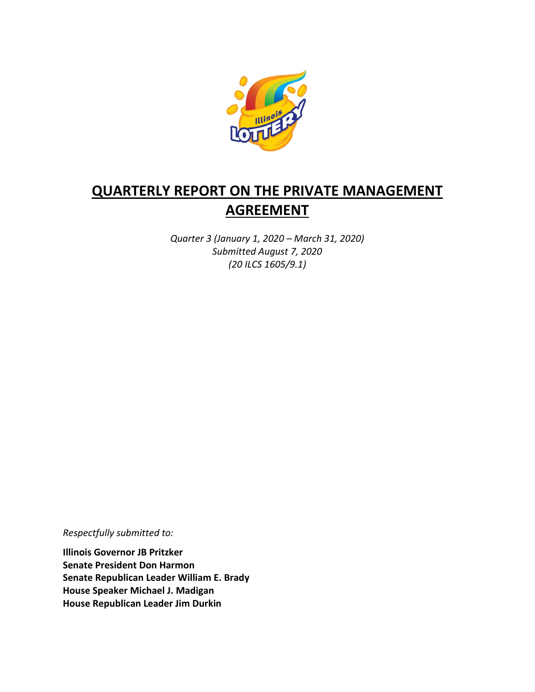

# **QUARTERLY REPORT ON THE PRIVATE MANAGEMENT AGREEMENT**

*Quarter 3 (January 1, 2020 – March 31, 2020) Submitted August 7, 2020 (20 ILCS 1605/9.1)*

*Respectfully submitted to:* 

**Illinois Governor JB Pritzker Senate President Don Harmon Senate Republican Leader William E. Brady House Speaker Michael J. Madigan House Republican Leader Jim Durkin**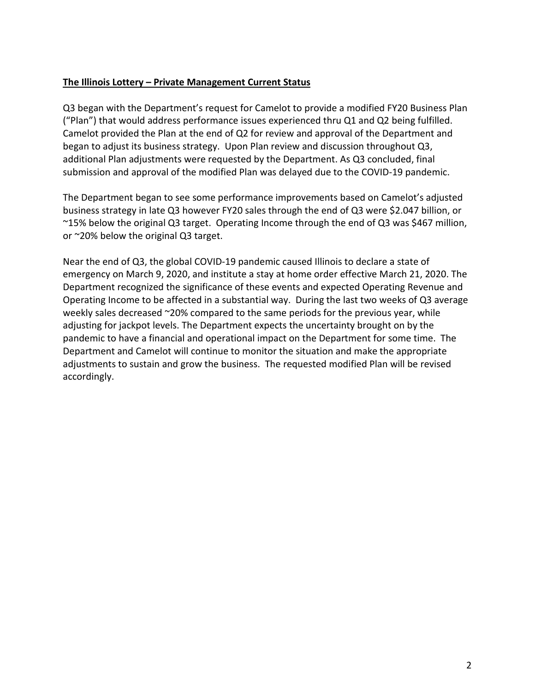#### **The Illinois Lottery – Private Management Current Status**

Q3 began with the Department's request for Camelot to provide a modified FY20 Business Plan ("Plan") that would address performance issues experienced thru Q1 and Q2 being fulfilled. Camelot provided the Plan at the end of Q2 for review and approval of the Department and began to adjust its business strategy. Upon Plan review and discussion throughout Q3, additional Plan adjustments were requested by the Department. As Q3 concluded, final submission and approval of the modified Plan was delayed due to the COVID-19 pandemic.

The Department began to see some performance improvements based on Camelot's adjusted business strategy in late Q3 however FY20 sales through the end of Q3 were \$2.047 billion, or ~15% below the original Q3 target. Operating Income through the end of Q3 was \$467 million, or ~20% below the original Q3 target.

Near the end of Q3, the global COVID-19 pandemic caused Illinois to declare a state of emergency on March 9, 2020, and institute a stay at home order effective March 21, 2020. The Department recognized the significance of these events and expected Operating Revenue and Operating Income to be affected in a substantial way. During the last two weeks of Q3 average weekly sales decreased ~20% compared to the same periods for the previous year, while adjusting for jackpot levels. The Department expects the uncertainty brought on by the pandemic to have a financial and operational impact on the Department for some time. The Department and Camelot will continue to monitor the situation and make the appropriate adjustments to sustain and grow the business. The requested modified Plan will be revised accordingly.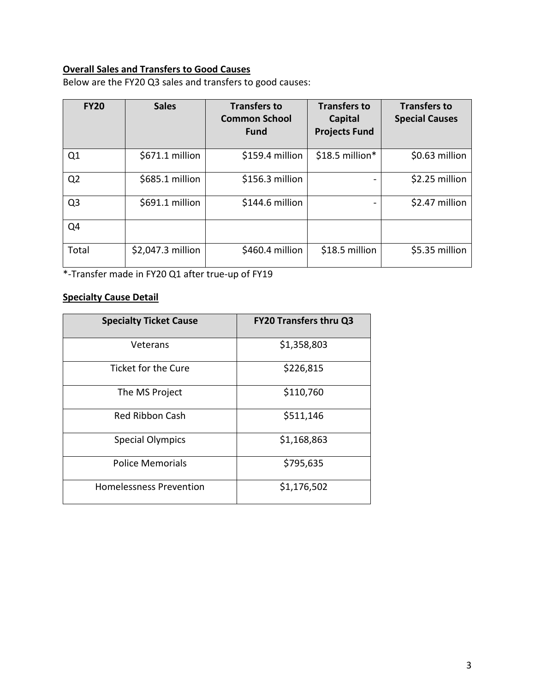## **Overall Sales and Transfers to Good Causes**

Below are the FY20 Q3 sales and transfers to good causes:

| <b>FY20</b>    | <b>Sales</b>      | <b>Transfers to</b><br><b>Common School</b><br><b>Fund</b> | <b>Transfers to</b><br>Capital<br><b>Projects Fund</b> | <b>Transfers to</b><br><b>Special Causes</b> |
|----------------|-------------------|------------------------------------------------------------|--------------------------------------------------------|----------------------------------------------|
| Q1             | \$671.1 million   | \$159.4 million                                            | $$18.5$ million*                                       | \$0.63 million                               |
| Q <sub>2</sub> | \$685.1 million   | \$156.3 million                                            |                                                        | \$2.25 million                               |
| Q <sub>3</sub> | \$691.1 million   | \$144.6 million                                            |                                                        | \$2.47 million                               |
| Q4             |                   |                                                            |                                                        |                                              |
| Total          | \$2,047.3 million | \$460.4 million                                            | \$18.5 million                                         | \$5.35 million                               |

\*-Transfer made in FY20 Q1 after true-up of FY19

#### **Specialty Cause Detail**

| <b>Specialty Ticket Cause</b>  | <b>FY20 Transfers thru Q3</b> |  |
|--------------------------------|-------------------------------|--|
| Veterans                       | \$1,358,803                   |  |
| Ticket for the Cure            | \$226,815                     |  |
| The MS Project                 | \$110,760                     |  |
| Red Ribbon Cash                | \$511,146                     |  |
| <b>Special Olympics</b>        | \$1,168,863                   |  |
| <b>Police Memorials</b>        | \$795,635                     |  |
| <b>Homelessness Prevention</b> | \$1,176,502                   |  |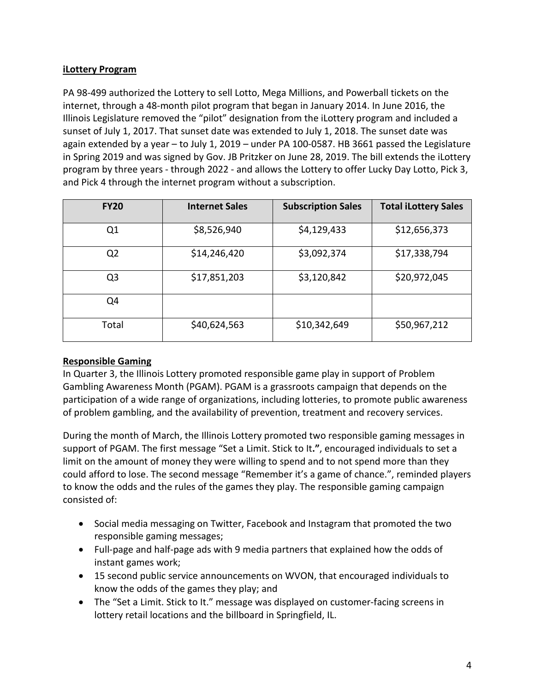### **iLottery Program**

PA 98-499 authorized the Lottery to sell Lotto, Mega Millions, and Powerball tickets on the internet, through a 48-month pilot program that began in January 2014. In June 2016, the Illinois Legislature removed the "pilot" designation from the iLottery program and included a sunset of July 1, 2017. That sunset date was extended to July 1, 2018. The sunset date was again extended by a year – to July 1, 2019 – under PA 100-0587. HB 3661 passed the Legislature in Spring 2019 and was signed by Gov. JB Pritzker on June 28, 2019. The bill extends the iLottery program by three years - through 2022 - and allows the Lottery to offer Lucky Day Lotto, Pick 3, and Pick 4 through the internet program without a subscription.

| <b>FY20</b>    | <b>Internet Sales</b> | <b>Subscription Sales</b> | <b>Total iLottery Sales</b> |
|----------------|-----------------------|---------------------------|-----------------------------|
| Q <sub>1</sub> | \$8,526,940           | \$4,129,433               | \$12,656,373                |
| Q <sub>2</sub> | \$14,246,420          | \$3,092,374               | \$17,338,794                |
| Q <sub>3</sub> | \$17,851,203          | \$3,120,842               | \$20,972,045                |
| Q4             |                       |                           |                             |
| Total          | \$40,624,563          | \$10,342,649              | \$50,967,212                |

#### **Responsible Gaming**

In Quarter 3, the Illinois Lottery promoted responsible game play in support of Problem Gambling Awareness Month (PGAM). PGAM is a grassroots campaign that depends on the participation of a wide range of organizations, including lotteries, to promote public awareness of problem gambling, and the availability of prevention, treatment and recovery services.

During the month of March, the Illinois Lottery promoted two responsible gaming messages in support of PGAM. The first message "Set a Limit. Stick to It**."**, encouraged individuals to set a limit on the amount of money they were willing to spend and to not spend more than they could afford to lose. The second message "Remember it's a game of chance.", reminded players to know the odds and the rules of the games they play. The responsible gaming campaign consisted of:

- Social media messaging on Twitter, Facebook and Instagram that promoted the two responsible gaming messages;
- Full-page and half-page ads with 9 media partners that explained how the odds of instant games work;
- 15 second public service announcements on WVON, that encouraged individuals to know the odds of the games they play; and
- The "Set a Limit. Stick to It." message was displayed on customer-facing screens in lottery retail locations and the billboard in Springfield, IL.